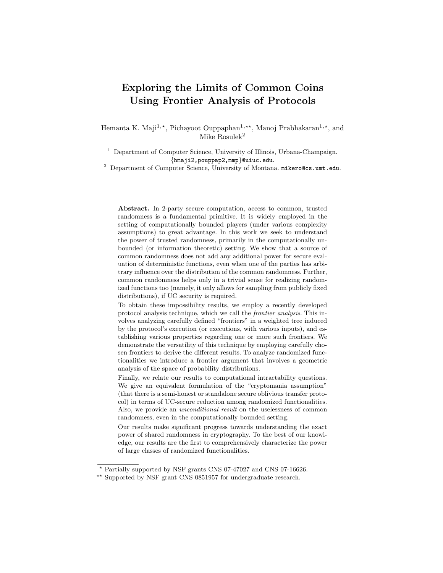# Exploring the Limits of Common Coins Using Frontier Analysis of Protocols

Hemanta K. Maji<sup>1,\*</sup>, Pichayoot Ouppaphan<sup>1,\*\*</sup>, Manoj Prabhakaran<sup>1,\*</sup>, and Mike Rosulek<sup>2</sup>

<sup>1</sup> Department of Computer Science, University of Illinois, Urbana-Champaign. {hmaji2,pouppap2,mmp}@uiuc.edu.

<sup>2</sup> Department of Computer Science, University of Montana. mikero@cs.umt.edu.

Abstract. In 2-party secure computation, access to common, trusted randomness is a fundamental primitive. It is widely employed in the setting of computationally bounded players (under various complexity assumptions) to great advantage. In this work we seek to understand the power of trusted randomness, primarily in the computationally unbounded (or information theoretic) setting. We show that a source of common randomness does not add any additional power for secure evaluation of deterministic functions, even when one of the parties has arbitrary influence over the distribution of the common randomness. Further, common randomness helps only in a trivial sense for realizing randomized functions too (namely, it only allows for sampling from publicly fixed distributions), if UC security is required.

To obtain these impossibility results, we employ a recently developed protocol analysis technique, which we call the frontier analysis. This involves analyzing carefully defined "frontiers" in a weighted tree induced by the protocol's execution (or executions, with various inputs), and establishing various properties regarding one or more such frontiers. We demonstrate the versatility of this technique by employing carefully chosen frontiers to derive the different results. To analyze randomized functionalities we introduce a frontier argument that involves a geometric analysis of the space of probability distributions.

Finally, we relate our results to computational intractability questions. We give an equivalent formulation of the "cryptomania assumption" (that there is a semi-honest or standalone secure oblivious transfer protocol) in terms of UC-secure reduction among randomized functionalities. Also, we provide an unconditional result on the uselessness of common randomness, even in the computationally bounded setting.

Our results make significant progress towards understanding the exact power of shared randomness in cryptography. To the best of our knowledge, our results are the first to comprehensively characterize the power of large classes of randomized functionalities.

\*\* Supported by NSF grant CNS 0851957 for undergraduate research.

<sup>?</sup> Partially supported by NSF grants CNS 07-47027 and CNS 07-16626.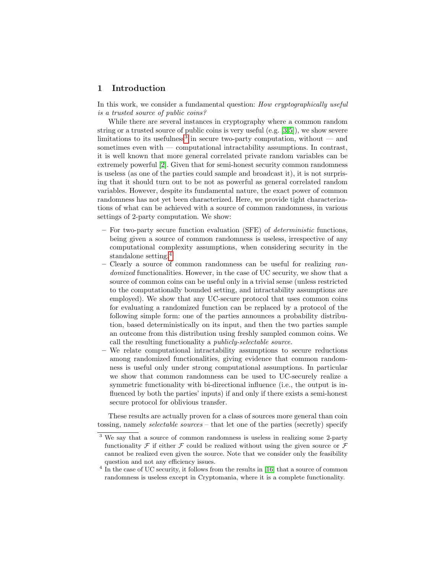## 1 Introduction

In this work, we consider a fundamental question: How cryptographically useful is a trusted source of public coins?

While there are several instances in cryptography where a common random string or a trusted source of public coins is very useful (e.g. [\[3,](#page-16-0)[5\]](#page-17-0)), we show severe limitations to its usefulness<sup>[3](#page-1-0)</sup> in secure two-party computation, without  $-$  and sometimes even with — computational intractability assumptions. In contrast, it is well known that more general correlated private random variables can be extremely powerful [\[2\]](#page-16-1). Given that for semi-honest security common randomness is useless (as one of the parties could sample and broadcast it), it is not surprising that it should turn out to be not as powerful as general correlated random variables. However, despite its fundamental nature, the exact power of common randomness has not yet been characterized. Here, we provide tight characterizations of what can be achieved with a source of common randomness, in various settings of 2-party computation. We show:

- For two-party secure function evaluation (SFE) of deterministic functions, being given a source of common randomness is useless, irrespective of any computational complexity assumptions, when considering security in the standalone setting.[4](#page-1-1)
- Clearly a source of common randomness can be useful for realizing  $ran$ domized functionalities. However, in the case of UC security, we show that a source of common coins can be useful only in a trivial sense (unless restricted to the computationally bounded setting, and intractability assumptions are employed). We show that any UC-secure protocol that uses common coins for evaluating a randomized function can be replaced by a protocol of the following simple form: one of the parties announces a probability distribution, based deterministically on its input, and then the two parties sample an outcome from this distribution using freshly sampled common coins. We call the resulting functionality a publicly-selectable source.
- We relate computational intractability assumptions to secure reductions among randomized functionalities, giving evidence that common randomness is useful only under strong computational assumptions. In particular we show that common randomness can be used to UC-securely realize a symmetric functionality with bi-directional influence (i.e., the output is influenced by both the parties' inputs) if and only if there exists a semi-honest secure protocol for oblivious transfer.

These results are actually proven for a class of sources more general than coin tossing, namely selectable sources – that let one of the parties (secretly) specify

<span id="page-1-0"></span><sup>3</sup> We say that a source of common randomness is useless in realizing some 2-party functionality  $\mathcal F$  if either  $\mathcal F$  could be realized without using the given source or  $\mathcal F$ cannot be realized even given the source. Note that we consider only the feasibility question and not any efficiency issues.

<span id="page-1-1"></span><sup>&</sup>lt;sup>4</sup> In the case of UC security, it follows from the results in [\[16\]](#page-17-1) that a source of common randomness is useless except in Cryptomania, where it is a complete functionality.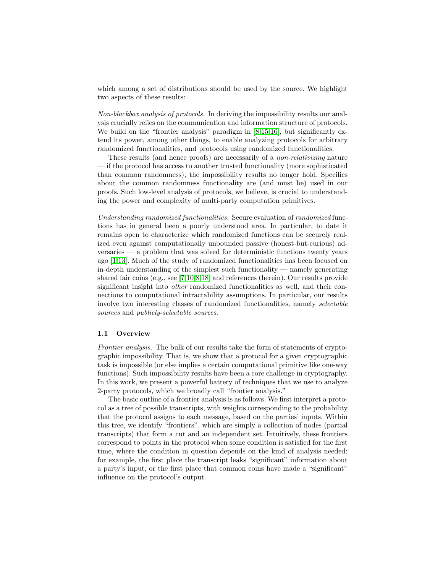which among a set of distributions should be used by the source. We highlight two aspects of these results:

Non-blackbox analysis of protocols. In deriving the impossibility results our analysis crucially relies on the communication and information structure of protocols. We build on the "frontier analysis" paradigm in [\[8](#page-17-2)[,15,](#page-17-3)[16\]](#page-17-1), but significantly extend its power, among other things, to enable analyzing protocols for arbitrary randomized functionalities, and protocols using randomized functionalities.

These results (and hence proofs) are necessarily of a non-relativizing nature — if the protocol has access to another trusted functionality (more sophisticated than common randomness), the impossibility results no longer hold. Specifics about the common randomness functionality are (and must be) used in our proofs. Such low-level analysis of protocols, we believe, is crucial to understanding the power and complexity of multi-party computation primitives.

Understanding randomized functionalities. Secure evaluation of randomized functions has in general been a poorly understood area. In particular, to date it remains open to characterize which randomized functions can be securely realized even against computationally unbounded passive (honest-but-curious) adversaries — a problem that was solved for deterministic functions twenty years ago [\[1,](#page-16-2)[13\]](#page-17-4). Much of the study of randomized functionalities has been focused on in-depth understanding of the simplest such functionality — namely generating shared fair coins (e.g., see [\[7,](#page-17-5)[10,](#page-17-6)[8,](#page-17-2)[18\]](#page-17-7) and references therein). Our results provide significant insight into *other* randomized functionalities as well, and their connections to computational intractability assumptions. In particular, our results involve two interesting classes of randomized functionalities, namely selectable sources and publicly-selectable sources.

#### 1.1 Overview

Frontier analysis. The bulk of our results take the form of statements of cryptographic impossibility. That is, we show that a protocol for a given cryptographic task is impossible (or else implies a certain computational primitive like one-way functions). Such impossibility results have been a core challenge in cryptography. In this work, we present a powerful battery of techniques that we use to analyze 2-party protocols, which we broadly call "frontier analysis."

The basic outline of a frontier analysis is as follows. We first interpret a protocol as a tree of possible transcripts, with weights corresponding to the probability that the protocol assigns to each message, based on the parties' inputs. Within this tree, we identify "frontiers", which are simply a collection of nodes (partial transcripts) that form a cut and an independent set. Intuitively, these frontiers correspond to points in the protocol when some condition is satisfied for the first time, where the condition in question depends on the kind of analysis needed: for example, the first place the transcript leaks "significant" information about a party's input, or the first place that common coins have made a "significant" influence on the protocol's output.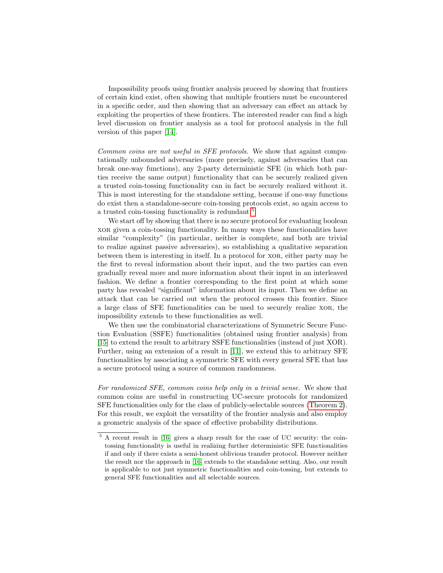Impossibility proofs using frontier analysis proceed by showing that frontiers of certain kind exist, often showing that multiple frontiers must be encountered in a specific order, and then showing that an adversary can effect an attack by exploiting the properties of these frontiers. The interested reader can find a high level discussion on frontier analysis as a tool for protocol analysis in the full version of this paper [\[14\]](#page-17-8).

Common coins are not useful in SFE protocols. We show that against computationally unbounded adversaries (more precisely, against adversaries that can break one-way functions), any 2-party deterministic SFE (in which both parties receive the same output) functionality that can be securely realized given a trusted coin-tossing functionality can in fact be securely realized without it. This is most interesting for the standalone setting, because if one-way functions do exist then a standalone-secure coin-tossing protocols exist, so again access to a trusted coin-tossing functionality is redundant.[5](#page-3-0)

We start off by showing that there is no secure protocol for evaluating boolean xor given a coin-tossing functionality. In many ways these functionalities have similar "complexity" (in particular, neither is complete, and both are trivial to realize against passive adversaries), so establishing a qualitative separation between them is interesting in itself. In a protocol for xor, either party may be the first to reveal information about their input, and the two parties can even gradually reveal more and more information about their input in an interleaved fashion. We define a frontier corresponding to the first point at which some party has revealed "significant" information about its input. Then we define an attack that can be carried out when the protocol crosses this frontier. Since a large class of SFE functionalities can be used to securely realize xor, the impossibility extends to these functionalities as well.

We then use the combinatorial characterizations of Symmetric Secure Function Evaluation (SSFE) functionalities (obtained using frontier analysis) from [\[15\]](#page-17-3) to extend the result to arbitrary SSFE functionalities (instead of just XOR). Further, using an extension of a result in [\[11\]](#page-17-9), we extend this to arbitrary SFE functionalities by associating a symmetric SFE with every general SFE that has a secure protocol using a source of common randomness.

For randomized SFE, common coins help only in a trivial sense. We show that common coins are useful in constructing UC-secure protocols for randomized SFE functionalities only for the class of publicly-selectable sources [\(Theorem 2\)](#page-12-0). For this result, we exploit the versatility of the frontier analysis and also employ a geometric analysis of the space of effective probability distributions.

<span id="page-3-0"></span><sup>5</sup> A recent result in [\[16\]](#page-17-1) gives a sharp result for the case of UC security: the cointossing functionality is useful in realizing further deterministic SFE functionalities if and only if there exists a semi-honest oblivious transfer protocol. However neither the result nor the approach in [\[16\]](#page-17-1) extends to the standalone setting. Also, our result is applicable to not just symmetric functionalities and coin-tossing, but extends to general SFE functionalities and all selectable sources.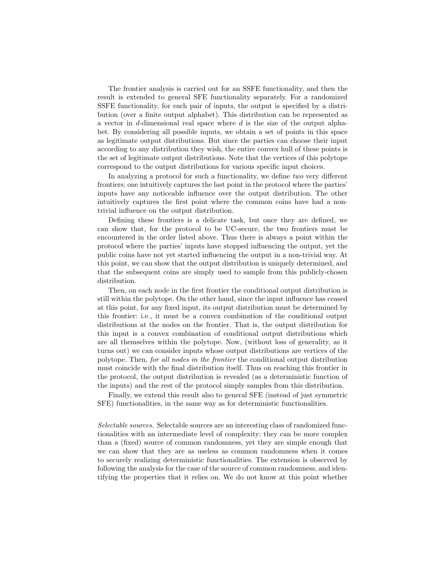The frontier analysis is carried out for an SSFE functionality, and then the result is extended to general SFE functionality separately. For a randomized SSFE functionality, for each pair of inputs, the output is specified by a distribution (over a finite output alphabet). This distribution can be represented as a vector in  $d$ -dimensional real space where  $d$  is the size of the output alphabet. By considering all possible inputs, we obtain a set of points in this space as legitimate output distributions. But since the parties can choose their input according to any distribution they wish, the entire convex hull of these points is the set of legitimate output distributions. Note that the vertices of this polytope correspond to the output distributions for various specific input choices.

In analyzing a protocol for such a functionality, we define two very different frontiers: one intuitively captures the last point in the protocol where the parties' inputs have any noticeable influence over the output distribution. The other intuitively captures the first point where the common coins have had a nontrivial influence on the output distribution.

Defining these frontiers is a delicate task, but once they are defined, we can show that, for the protocol to be UC-secure, the two frontiers must be encountered in the order listed above. Thus there is always a point within the protocol where the parties' inputs have stopped influencing the output, yet the public coins have not yet started influencing the output in a non-trivial way. At this point, we can show that the output distribution is uniquely determined, and that the subsequent coins are simply used to sample from this publicly-chosen distribution.

Then, on each node in the first frontier the conditional output distribution is still within the polytope. On the other hand, since the input influence has ceased at this point, for any fixed input, its output distribution must be determined by this frontier: i.e., it must be a convex combination of the conditional output distributions at the nodes on the frontier. That is, the output distribution for this input is a convex combination of conditional output distributions which are all themselves within the polytope. Now, (without loss of generality, as it turns out) we can consider inputs whose output distributions are vertices of the polytope. Then, for all nodes in the frontier the conditional output distribution must coincide with the final distribution itself. Thus on reaching this frontier in the protocol, the output distribution is revealed (as a deterministic function of the inputs) and the rest of the protocol simply samples from this distribution.

Finally, we extend this result also to general SFE (instead of just symmetric SFE) functionalities, in the same way as for deterministic functionalities.

Selectable sources. Selectable sources are an interesting class of randomized functionalities with an intermediate level of complexity: they can be more complex than a (fixed) source of common randomness, yet they are simple enough that we can show that they are as useless as common randomness when it comes to securely realizing deterministic functionalities. The extension is observed by following the analysis for the case of the source of common randomness, and identifying the properties that it relies on. We do not know at this point whether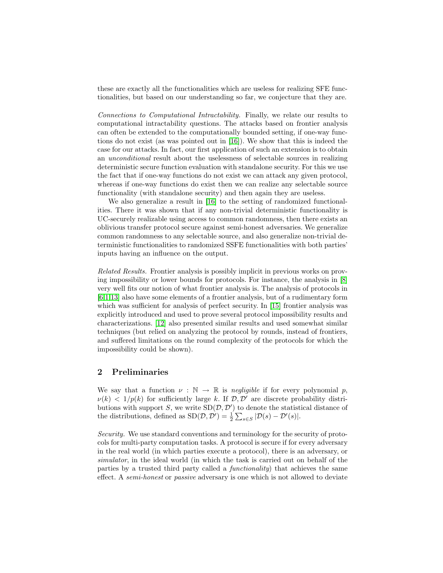these are exactly all the functionalities which are useless for realizing SFE functionalities, but based on our understanding so far, we conjecture that they are.

Connections to Computational Intractability. Finally, we relate our results to computational intractability questions. The attacks based on frontier analysis can often be extended to the computationally bounded setting, if one-way functions do not exist (as was pointed out in [\[16\]](#page-17-1)). We show that this is indeed the case for our attacks. In fact, our first application of such an extension is to obtain an unconditional result about the uselessness of selectable sources in realizing deterministic secure function evaluation with standalone security. For this we use the fact that if one-way functions do not exist we can attack any given protocol, whereas if one-way functions do exist then we can realize any selectable source functionality (with standalone security) and then again they are useless.

We also generalize a result in [\[16\]](#page-17-1) to the setting of randomized functionalities. There it was shown that if any non-trivial deterministic functionality is UC-securely realizable using access to common randomness, then there exists an oblivious transfer protocol secure against semi-honest adversaries. We generalize common randomness to any selectable source, and also generalize non-trivial deterministic functionalities to randomized SSFE functionalities with both parties' inputs having an influence on the output.

Related Results. Frontier analysis is possibly implicit in previous works on proving impossibility or lower bounds for protocols. For instance, the analysis in [\[8\]](#page-17-2) very well fits our notion of what frontier analysis is. The analysis of protocols in [\[6,](#page-17-10)[1](#page-16-2)[,13\]](#page-17-4) also have some elements of a frontier analysis, but of a rudimentary form which was sufficient for analysis of perfect security. In [\[15\]](#page-17-3) frontier analysis was explicitly introduced and used to prove several protocol impossibility results and characterizations. [\[12\]](#page-17-11) also presented similar results and used somewhat similar techniques (but relied on analyzing the protocol by rounds, instead of frontiers, and suffered limitations on the round complexity of the protocols for which the impossibility could be shown).

## <span id="page-5-0"></span>2 Preliminaries

We say that a function  $\nu : \mathbb{N} \to \mathbb{R}$  is negligible if for every polynomial p,  $\nu(k) < 1/p(k)$  for sufficiently large k. If  $\mathcal{D}, \mathcal{D}'$  are discrete probability distributions with support S, we write  $SD(D, D')$  to denote the statistical distance of the distributions, defined as  $SD(D, D') = \frac{1}{2} \sum_{s \in S} |D(s) - D'(s)|$ .

Security. We use standard conventions and terminology for the security of protocols for multi-party computation tasks. A protocol is secure if for every adversary in the real world (in which parties execute a protocol), there is an adversary, or simulator, in the ideal world (in which the task is carried out on behalf of the parties by a trusted third party called a functionality) that achieves the same effect. A semi-honest or passive adversary is one which is not allowed to deviate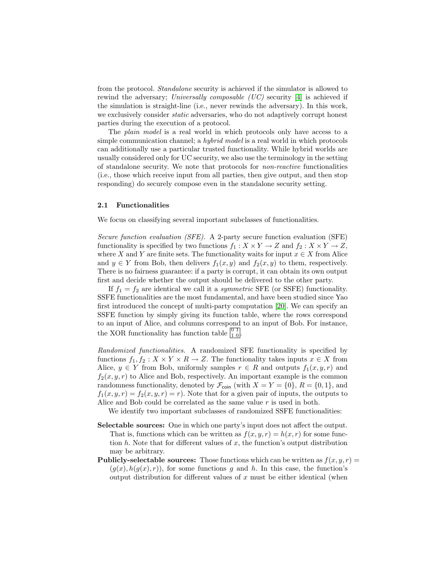from the protocol. Standalone security is achieved if the simulator is allowed to rewind the adversary; Universally composable (UC) security [\[4\]](#page-16-3) is achieved if the simulation is straight-line (i.e., never rewinds the adversary). In this work, we exclusively consider *static* adversaries, who do not adaptively corrupt honest parties during the execution of a protocol.

The plain model is a real world in which protocols only have access to a simple communication channel; a *hybrid model* is a real world in which protocols can additionally use a particular trusted functionality. While hybrid worlds are usually considered only for UC security, we also use the terminology in the setting of standalone security. We note that protocols for non-reactive functionalities (i.e., those which receive input from all parties, then give output, and then stop responding) do securely compose even in the standalone security setting.

#### 2.1 Functionalities

We focus on classifying several important subclasses of functionalities.

Secure function evaluation (SFE). A 2-party secure function evaluation (SFE) functionality is specified by two functions  $f_1 : X \times Y \to Z$  and  $f_2 : X \times Y \to Z$ , where X and Y are finite sets. The functionality waits for input  $x \in X$  from Alice and  $y \in Y$  from Bob, then delivers  $f_1(x, y)$  and  $f_2(x, y)$  to them, respectively. There is no fairness guarantee: if a party is corrupt, it can obtain its own output first and decide whether the output should be delivered to the other party.

If  $f_1 = f_2$  are identical we call it a *symmetric* SFE (or SSFE) functionality. SSFE functionalities are the most fundamental, and have been studied since Yao first introduced the concept of multi-party computation [\[20\]](#page-17-12). We can specify an SSFE function by simply giving its function table, where the rows correspond to an input of Alice, and columns correspond to an input of Bob. For instance, the XOR functionality has function table  $\begin{bmatrix} 0 & 1 \\ 1 & 0 \end{bmatrix}$ .

Randomized functionalities. A randomized SFE functionality is specified by functions  $f_1, f_2 : X \times Y \times R \to Z$ . The functionality takes inputs  $x \in X$  from Alice,  $y \in Y$  from Bob, uniformly samples  $r \in R$  and outputs  $f_1(x, y, r)$  and  $f_2(x, y, r)$  to Alice and Bob, respectively. An important example is the common randomness functionality, denoted by  $\mathcal{F}_{\text{coin}}$  (with  $X = Y = \{0\}$ ,  $R = \{0, 1\}$ , and  $f_1(x, y, r) = f_2(x, y, r) = r$ . Note that for a given pair of inputs, the outputs to Alice and Bob could be correlated as the same value  $r$  is used in both.

We identify two important subclasses of randomized SSFE functionalities:

- Selectable sources: One in which one party's input does not affect the output. That is, functions which can be written as  $f(x, y, r) = h(x, r)$  for some function h. Note that for different values of x, the function's output distribution may be arbitrary.
- **Publicly-selectable sources:** Those functions which can be written as  $f(x, y, r) =$  $(g(x), h(g(x), r))$ , for some functions g and h. In this case, the function's output distribution for different values of  $x$  must be either identical (when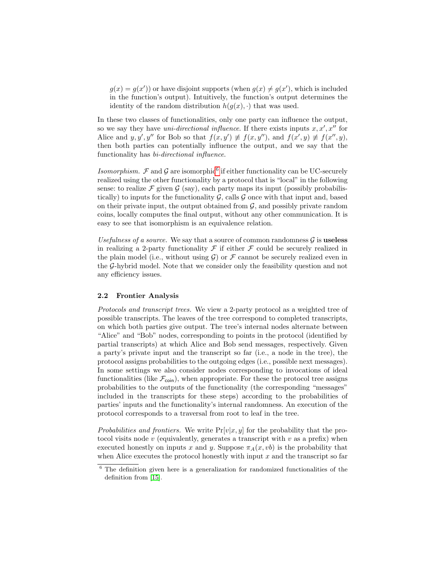$g(x) = g(x')$  or have disjoint supports (when  $g(x) \neq g(x')$ , which is included in the function's output). Intuitively, the function's output determines the identity of the random distribution  $h(g(x), \cdot)$  that was used.

In these two classes of functionalities, only one party can influence the output, so we say they have *uni-directional influence*. If there exists inputs  $x, x', x''$  for Alice and  $y, y', y''$  for Bob so that  $f(x, y') \neq f(x, y'')$ , and  $f(x', y) \neq f(x'', y)$ , then both parties can potentially influence the output, and we say that the functionality has bi-directional influence.

Isomorphism.  $\mathcal F$  and  $\mathcal G$  are isomorphic<sup>[6](#page-7-0)</sup> if either functionality can be UC-securely realized using the other functionality by a protocol that is "local" in the following sense: to realize  $\mathcal F$  given  $\mathcal G$  (say), each party maps its input (possibly probabilistically) to inputs for the functionality  $\mathcal{G}$ , calls  $\mathcal{G}$  once with that input and, based on their private input, the output obtained from  $\mathcal{G}$ , and possibly private random coins, locally computes the final output, without any other communication. It is easy to see that isomorphism is an equivalence relation.

<span id="page-7-1"></span>Usefulness of a source. We say that a source of common randomness  $\mathcal G$  is useless in realizing a 2-party functionality  $\mathcal F$  if either  $\mathcal F$  could be securely realized in the plain model (i.e., without using  $\mathcal{G}$ ) or  $\mathcal{F}$  cannot be securely realized even in the G-hybrid model. Note that we consider only the feasibility question and not any efficiency issues.

#### 2.2 Frontier Analysis

Protocols and transcript trees. We view a 2-party protocol as a weighted tree of possible transcripts. The leaves of the tree correspond to completed transcripts, on which both parties give output. The tree's internal nodes alternate between "Alice" and "Bob" nodes, corresponding to points in the protocol (identified by partial transcripts) at which Alice and Bob send messages, respectively. Given a party's private input and the transcript so far (i.e., a node in the tree), the protocol assigns probabilities to the outgoing edges (i.e., possible next messages). In some settings we also consider nodes corresponding to invocations of ideal functionalities (like  $\mathcal{F}_{\text{coin}}$ ), when appropriate. For these the protocol tree assigns probabilities to the outputs of the functionality (the corresponding "messages" included in the transcripts for these steps) according to the probabilities of parties' inputs and the functionality's internal randomness. An execution of the protocol corresponds to a traversal from root to leaf in the tree.

Probabilities and frontiers. We write  $Pr[v|x, y]$  for the probability that the protocol visits node v (equivalently, generates a transcript with v as a prefix) when executed honestly on inputs x and y. Suppose  $\pi_A(x, vb)$  is the probability that when Alice executes the protocol honestly with input  $x$  and the transcript so far

<span id="page-7-0"></span> $6$  The definition given here is a generalization for randomized functionalities of the definition from [\[15\]](#page-17-3).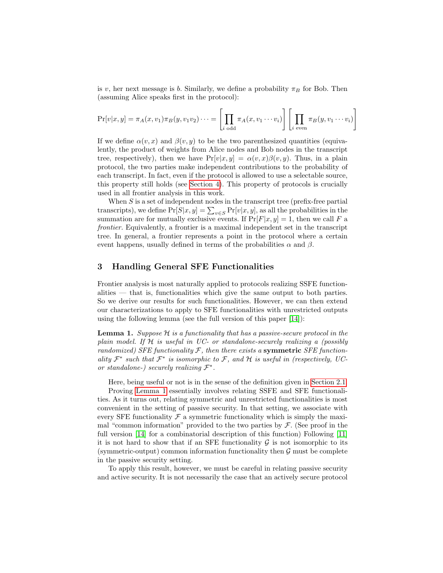is v, her next message is b. Similarly, we define a probability  $\pi_B$  for Bob. Then (assuming Alice speaks first in the protocol):

$$
\Pr[v|x,y] = \pi_A(x,v_1)\pi_B(y,v_1v_2)\cdots = \left[\prod_{i\text{ odd}}\pi_A(x,v_1\cdots v_i)\right]\left[\prod_{i\text{ even}}\pi_B(y,v_1\cdots v_i)\right]
$$

If we define  $\alpha(v, x)$  and  $\beta(v, y)$  to be the two parenthesized quantities (equivalently, the product of weights from Alice nodes and Bob nodes in the transcript tree, respectively), then we have  $Pr[v|x, y] = \alpha(v, x)\beta(v, y)$ . Thus, in a plain protocol, the two parties make independent contributions to the probability of each transcript. In fact, even if the protocol is allowed to use a selectable source, this property still holds (see [Section 4\)](#page-9-0). This property of protocols is crucially used in all frontier analysis in this work.

When  $S$  is a set of independent nodes in the transcript tree (prefix-free partial transcripts), we define  $Pr[S|x, y] = \sum_{v \in S} Pr[v|x, y]$ , as all the probabilities in the summation are for mutually exclusive events. If  $Pr[F|x, y] = 1$ , then we call F a frontier. Equivalently, a frontier is a maximal independent set in the transcript tree. In general, a frontier represents a point in the protocol where a certain event happens, usually defined in terms of the probabilities  $\alpha$  and  $\beta$ .

## 3 Handling General SFE Functionalities

Frontier analysis is most naturally applied to protocols realizing SSFE functionalities — that is, functionalities which give the same output to both parties. So we derive our results for such functionalities. However, we can then extend our characterizations to apply to SFE functionalities with unrestricted outputs using the following lemma (see the full version of this paper [\[14\]](#page-17-8)):

<span id="page-8-0"></span>**Lemma 1.** Suppose  $H$  is a functionality that has a passive-secure protocol in the plain model. If  $H$  is useful in UC- or standalone-securely realizing a (possibly randomized) SFE functionality  $F$ , then there exists a symmetric SFE functionality  $\mathcal{F}^*$  such that  $\mathcal{F}^*$  is isomorphic to  $\mathcal{F}$ , and  $\mathcal{H}$  is useful in (respectively, UCor standalone-) securely realizing  $\mathcal{F}^*$ .

Here, being useful or not is in the sense of the definition given in [Section 2.1.](#page-7-1) Proving [Lemma 1](#page-8-0) essentially involves relating SSFE and SFE functionalities. As it turns out, relating symmetric and unrestricted functionalities is most convenient in the setting of passive security. In that setting, we associate with every SFE functionality  $\mathcal F$  a symmetric functionality which is simply the maximal "common information" provided to the two parties by  $\mathcal{F}$ . (See proof in the full version [\[14\]](#page-17-8) for a combinatorial description of this function) Following [\[11\]](#page-17-9) it is not hard to show that if an SFE functionality  $\mathcal G$  is not isomorphic to its (symmetric-output) common information functionality then  $\mathcal G$  must be complete in the passive security setting.

To apply this result, however, we must be careful in relating passive security and active security. It is not necessarily the case that an actively secure protocol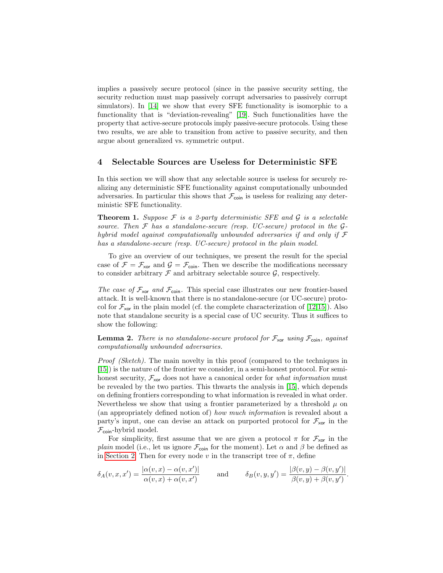implies a passively secure protocol (since in the passive security setting, the security reduction must map passively corrupt adversaries to passively corrupt simulators). In [\[14\]](#page-17-8) we show that every SFE functionality is isomorphic to a functionality that is "deviation-revealing" [\[19\]](#page-17-13). Such functionalities have the property that active-secure protocols imply passive-secure protocols. Using these two results, we are able to transition from active to passive security, and then argue about generalized vs. symmetric output.

#### <span id="page-9-0"></span>4 Selectable Sources are Useless for Deterministic SFE

In this section we will show that any selectable source is useless for securely realizing any deterministic SFE functionality against computationally unbounded adversaries. In particular this shows that  $\mathcal{F}_{\text{coin}}$  is useless for realizing any deterministic SFE functionality.

<span id="page-9-2"></span>**Theorem 1.** Suppose  $\mathcal F$  is a 2-party deterministic SFE and  $\mathcal G$  is a selectable source. Then  $F$  has a standalone-secure (resp. UC-secure) protocol in the  $G$ hybrid model against computationally unbounded adversaries if and only if  $\mathcal F$ has a standalone-secure (resp. UC-secure) protocol in the plain model.

To give an overview of our techniques, we present the result for the special case of  $\mathcal{F} = \mathcal{F}_{\text{xor}}$  and  $\mathcal{G} = \mathcal{F}_{\text{coin}}$ . Then we describe the modifications necessary to consider arbitrary  $\mathcal F$  and arbitrary selectable source  $\mathcal G$ , respectively.

The case of  $\mathcal{F}_{\text{xor}}$  and  $\mathcal{F}_{\text{coin}}$ . This special case illustrates our new frontier-based attack. It is well-known that there is no standalone-secure (or UC-secure) protocol for  $\mathcal{F}_{\text{xor}}$  in the plain model (cf. the complete characterization of [\[12,](#page-17-11)[15\]](#page-17-3)). Also note that standalone security is a special case of UC security. Thus it suffices to show the following:

<span id="page-9-1"></span>**Lemma 2.** There is no standalone-secure protocol for  $\mathcal{F}_{\text{xor}}$  using  $\mathcal{F}_{\text{coin}}$ , against computationally unbounded adversaries.

Proof (Sketch). The main novelty in this proof (compared to the techniques in [\[15\]](#page-17-3)) is the nature of the frontier we consider, in a semi-honest protocol. For semihonest security,  $\mathcal{F}_{\text{xor}}$  does not have a canonical order for *what information* must be revealed by the two parties. This thwarts the analysis in [\[15\]](#page-17-3), which depends on defining frontiers corresponding to what information is revealed in what order. Nevertheless we show that using a frontier parameterized by a threshold  $\mu$  on (an appropriately defined notion of) how much information is revealed about a party's input, one can devise an attack on purported protocol for  $\mathcal{F}_{\text{xor}}$  in the  $\mathcal{F}_{\text{coin}}$ -hybrid model.

For simplicity, first assume that we are given a protocol  $\pi$  for  $\mathcal{F}_{\text{xor}}$  in the plain model (i.e., let us ignore  $\mathcal{F}_{\text{coin}}$  for the moment). Let  $\alpha$  and  $\beta$  be defined as in [Section 2.](#page-5-0) Then for every node v in the transcript tree of  $\pi$ , define

$$
\delta_A(v, x, x') = \frac{|\alpha(v, x) - \alpha(v, x')|}{\alpha(v, x) + \alpha(v, x')} \quad \text{and} \quad \delta_B(v, y, y') = \frac{|\beta(v, y) - \beta(v, y')|}{\beta(v, y) + \beta(v, y')}.
$$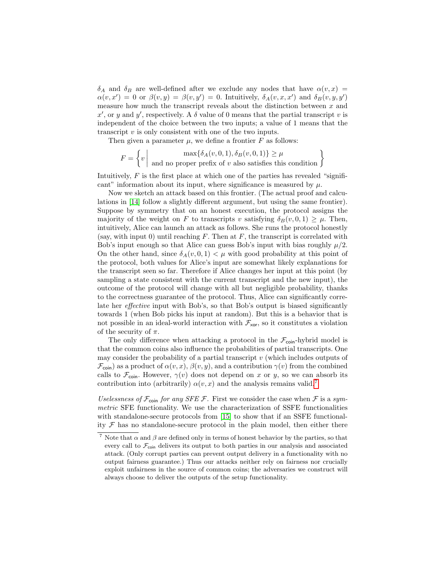$\delta_A$  and  $\delta_B$  are well-defined after we exclude any nodes that have  $\alpha(v, x)$  $\alpha(v, x') = 0$  or  $\beta(v, y) = \beta(v, y') = 0$ . Intuitively,  $\delta_A(v, x, x')$  and  $\delta_B(v, y, y')$ measure how much the transcript reveals about the distinction between  $x$  and x', or y and y', respectively. A  $\delta$  value of 0 means that the partial transcript v is independent of the choice between the two inputs; a value of 1 means that the transcript  $v$  is only consistent with one of the two inputs.

Then given a parameter  $\mu$ , we define a frontier  $F$  as follows:

$$
F = \left\{ v \mid \text{ and no proper prefix of } v \text{ also satisfies this condition } \right\}
$$

Intuitively,  $F$  is the first place at which one of the parties has revealed "significant" information about its input, where significance is measured by  $\mu$ .

Now we sketch an attack based on this frontier. (The actual proof and calculations in [\[14\]](#page-17-8) follow a slightly different argument, but using the same frontier). Suppose by symmetry that on an honest execution, the protocol assigns the majority of the weight on F to transcripts v satisfying  $\delta_B(v, 0, 1) \geq \mu$ . Then, intuitively, Alice can launch an attack as follows. She runs the protocol honestly (say, with input 0) until reaching F. Then at  $F$ , the transcript is correlated with Bob's input enough so that Alice can guess Bob's input with bias roughly  $\mu/2$ . On the other hand, since  $\delta_A(v, 0, 1) < \mu$  with good probability at this point of the protocol, both values for Alice's input are somewhat likely explanations for the transcript seen so far. Therefore if Alice changes her input at this point (by sampling a state consistent with the current transcript and the new input), the outcome of the protocol will change with all but negligible probability, thanks to the correctness guarantee of the protocol. Thus, Alice can significantly correlate her effective input with Bob's, so that Bob's output is biased significantly towards 1 (when Bob picks his input at random). But this is a behavior that is not possible in an ideal-world interaction with  $\mathcal{F}_{\text{xor}}$ , so it constitutes a violation of the security of  $\pi$ .

The only difference when attacking a protocol in the  $\mathcal{F}_{\text{coin}}$ -hybrid model is that the common coins also influence the probabilities of partial transcripts. One may consider the probability of a partial transcript  $v$  (which includes outputs of  $\mathcal{F}_{\text{coin}}$ ) as a product of  $\alpha(v, x)$ ,  $\beta(v, y)$ , and a contribution  $\gamma(v)$  from the combined calls to  $\mathcal{F}_{\text{coin}}$ . However,  $\gamma(v)$  does not depend on x or y, so we can absorb its contribution into (arbitrarily)  $\alpha(v, x)$  and the analysis remains valid.<sup>[7](#page-10-0)</sup>

Uselessness of  $\mathcal{F}_{\text{coin}}$  for any SFE  $\mathcal{F}$ . First we consider the case when  $\mathcal{F}$  is a symmetric SFE functionality. We use the characterization of SSFE functionalities with standalone-secure protocols from [\[15\]](#page-17-3) to show that if an SSFE functionality  $\mathcal F$  has no standalone-secure protocol in the plain model, then either there

<span id="page-10-0"></span><sup>&</sup>lt;sup>7</sup> Note that  $\alpha$  and  $\beta$  are defined only in terms of honest behavior by the parties, so that every call to  $\mathcal{F}_{\text{coin}}$  delivers its output to both parties in our analysis and associated attack. (Only corrupt parties can prevent output delivery in a functionality with no output fairness guarantee.) Thus our attacks neither rely on fairness nor crucially exploit unfairness in the source of common coins; the adversaries we construct will always choose to deliver the outputs of the setup functionality.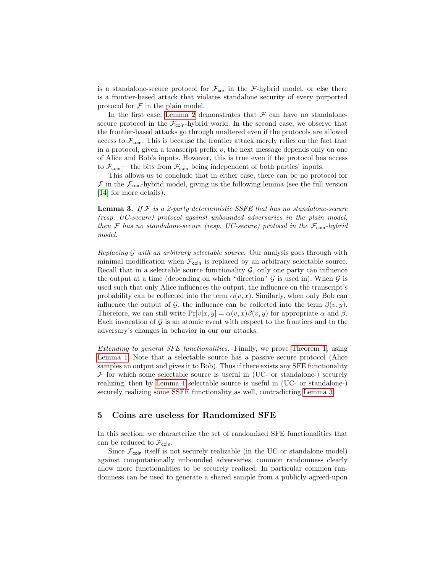is a standalone-secure protocol for  $\mathcal{F}_{\text{xor}}$  in the F-hybrid model, or else there is a frontier-based attack that violates standalone security of every purported protocol for  $\mathcal F$  in the plain model.

In the first case, [Lemma 2](#page-9-1) demonstrates that  $\mathcal F$  can have no standalonesecure protocol in the  $\mathcal{F}_{\text{coin}}$ -hybrid world. In the second case, we observe that the frontier-based attacks go through unaltered even if the protocols are allowed access to  $\mathcal{F}_{\text{coin}}$ . This is because the frontier attack merely relies on the fact that in a protocol, given a transcript prefix  $v$ , the next message depends only on one of Alice and Bob's inputs. However, this is true even if the protocol has access to  $\mathcal{F}_{\text{coin}}$ — the bits from  $\mathcal{F}_{\text{coin}}$  being independent of both parties' inputs.

This allows us to conclude that in either case, there can be no protocol for  $\mathcal F$  in the  $\mathcal F_{\text{coin}}$ -hybrid model, giving us the following lemma (see the full version [\[14\]](#page-17-8) for more details).

<span id="page-11-0"></span>**Lemma 3.** If  $F$  is a 2-party deterministic SSFE that has no standalone-secure (resp. UC-secure) protocol against unbounded adversaries in the plain model, then  $F$  has no standalone-secure (resp. UC-secure) protocol in the  $\mathcal{F}_{\text{coin}}$ -hybrid model.

Replacing  $\mathcal G$  with an arbitrary selectable source. Our analysis goes through with minimal modification when  $\mathcal{F}_{\text{coin}}$  is replaced by an arbitrary selectable source. Recall that in a selectable source functionality  $G$ , only one party can influence the output at a time (depending on which "direction"  $\mathcal G$  is used in). When  $\mathcal G$  is used such that only Alice influences the output, the influence on the transcript's probability can be collected into the term  $\alpha(v, x)$ . Similarly, when only Bob can influence the output of G, the influence can be collected into the term  $\beta(v, y)$ . Therefore, we can still write  $Pr[v|x, y] = \alpha(v, x)\beta(v, y)$  for appropriate  $\alpha$  and  $\beta$ . Each invocation of  $\mathcal G$  is an atomic event with respect to the frontiers and to the adversary's changes in behavior in our our attacks.

Extending to general SFE functionalities. Finally, we prove [Theorem 1,](#page-9-2) using [Lemma 1.](#page-8-0) Note that a selectable source has a passive secure protocol (Alice samples an output and gives it to Bob). Thus if there exists any SFE functionality  $\mathcal F$  for which some selectable source is useful in (UC- or standalone-) securely realizing, then by [Lemma 1](#page-8-0) selectable source is useful in (UC- or standalone-) securely realizing some SSFE functionality as well, contradicting [Lemma 3.](#page-11-0)

## 5 Coins are useless for Randomized SFE

In this section, we characterize the set of randomized SFE functionalities that can be reduced to  $\mathcal{F}_{\text{coin}}$ .

Since  $\mathcal{F}_{\text{coin}}$  itself is not securely realizable (in the UC or standalone model) against computationally unbounded adversaries, common randomness clearly allow more functionalities to be securely realized. In particular common randomness can be used to generate a shared sample from a publicly agreed-upon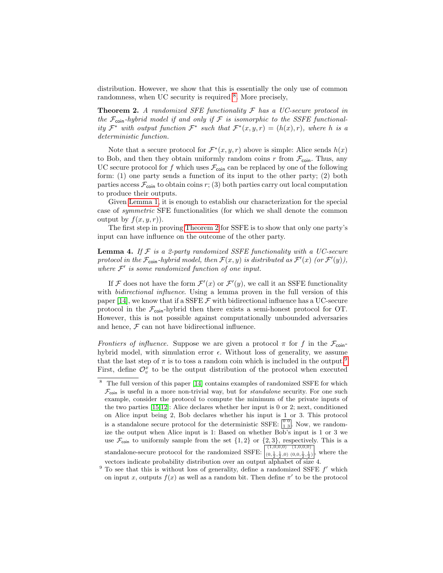<span id="page-12-0"></span>distribution. However, we show that this is essentially the only use of common randomness, when UC security is required <sup>[8](#page-12-1)</sup>. More precisely,

**Theorem 2.** A randomized SFE functionality  $\mathcal F$  has a UC-secure protocol in the  $\mathcal{F}_{\text{coin}}$ -hybrid model if and only if  $\mathcal F$  is isomorphic to the SSFE functionality  $\mathcal{F}^*$  with output function  $\mathcal{F}^*$  such that  $\mathcal{F}^*(x,y,r) = (h(x),r)$ , where h is a deterministic function.

Note that a secure protocol for  $\mathcal{F}^*(x, y, r)$  above is simple: Alice sends  $h(x)$ to Bob, and then they obtain uniformly random coins  $r$  from  $\mathcal{F}_{\text{coin}}$ . Thus, any UC secure protocol for f which uses  $\mathcal{F}_{\text{coin}}$  can be replaced by one of the following form: (1) one party sends a function of its input to the other party; (2) both parties access  $\mathcal{F}_{\text{coin}}$  to obtain coins  $r$ ; (3) both parties carry out local computation to produce their outputs.

Given [Lemma 1,](#page-8-0) it is enough to establish our characterization for the special case of symmetric SFE functionalities (for which we shall denote the common output by  $f(x, y, r)$ .

The first step in proving [Theorem 2](#page-12-0) for SSFE is to show that only one party's input can have influence on the outcome of the other party.

**Lemma 4.** If  $\mathcal F$  is a 2-party randomized SSFE functionality with a UC-secure protocol in the  $\mathcal{F}_{\textsf{coin}}$ -hybrid model, then  $\mathcal{F}(x, y)$  is distributed as  $\mathcal{F}'(x)$  (or  $\mathcal{F}'(y)$ ), where  $\mathcal{F}'$  is some randomized function of one input.

If F does not have the form  $\mathcal{F}'(x)$  or  $\mathcal{F}'(y)$ , we call it an SSFE functionality with *bidirectional influence*. Using a lemma proven in the full version of this paper [\[14\]](#page-17-8), we know that if a SSFE  $\mathcal F$  with bidirectional influence has a UC-secure protocol in the  $\mathcal{F}_{\text{coin}}$ -hybrid then there exists a semi-honest protocol for OT. However, this is not possible against computationally unbounded adversaries and hence,  $\mathcal F$  can not have bidirectional influence.

Frontiers of influence. Suppose we are given a protocol  $\pi$  for f in the  $\mathcal{F}_{\text{coin}}$ hybrid model, with simulation error  $\epsilon$ . Without loss of generality, we assume that the last step of  $\pi$  is to toss a random coin which is included in the output.<sup>[9](#page-12-2)</sup> First, define  $\mathcal{O}_v^x$  to be the output distribution of the protocol when executed

<span id="page-12-1"></span><sup>8</sup> The full version of this paper [\[14\]](#page-17-8) contains examples of randomized SSFE for which  $\mathcal{F}_{\text{coin}}$  is useful in a more non-trivial way, but for *standalone* security. For one such example, consider the protocol to compute the minimum of the private inputs of the two parties [\[15,](#page-17-3)[12\]](#page-17-11): Alice declares whether her input is 0 or 2; next, conditioned on Alice input being 2, Bob declares whether his input is 1 or 3. This protocol is a standalone secure protocol for the deterministic SSFE:  $\begin{bmatrix} 0 & 0 \\ 1 & 3 \end{bmatrix}$ . Now, we randomize the output when Alice input is 1: Based on whether Bob's input is 1 or 3 we use  $\mathcal{F}_{\text{coin}}$  to uniformly sample from the set  $\{1,2\}$  or  $\{2,3\}$ , respectively. This is a standalone-secure protocol for the randomized SSFE:  $(1,0,0,0)$   $(1,0,0,0)$ <br> $(1,0,0,0)$  $(0, \frac{1}{2}, \frac{1}{2}, 0)$   $(0, 0, \frac{1}{2}, \frac{1}{2})$ , where the vectors indicate probability distribution over an output alphabet of size 4.

<span id="page-12-2"></span><sup>&</sup>lt;sup>9</sup> To see that this is without loss of generality, define a randomized SSFE  $f'$  which on input x, outputs  $f(x)$  as well as a random bit. Then define  $\pi'$  to be the protocol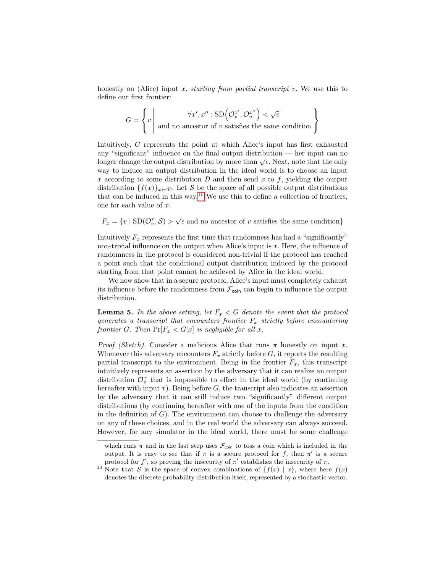honestly on (Alice) input x, starting from partial transcript v. We use this to define our first frontier:

> $\mathcal{L}$  $\mathcal{L}$ J

$$
G = \left\{ v \, \middle| \, \begin{array}{c} \forall x', x'': \mathrm{SD}\left(\mathcal{O}_v^{x'}, \mathcal{O}_v^{x''}\right) < \sqrt{\epsilon} \\ \text{and no ancestor of } v \text{ satisfies the same condition} \end{array} \right.
$$

Intuitively, G represents the point at which Alice's input has first exhausted any "significant" influence on the final output distribution — her input can no longer change the output distribution by more than  $\sqrt{\epsilon}$ . Next, note that the only way to induce an output distribution in the ideal world is to choose an input x according to some distribution  $\mathcal D$  and then send x to f, yielding the output distribution  $\{f(x)\}_{x\leftarrow\mathcal{D}}$ . Let S be the space of all possible output distributions that can be induced in this way.<sup>[10](#page-13-0)</sup> We use this to define a collection of frontiers, one for each value of x.

 $F_x = \{v \mid SD(\mathcal{O}_v^x, \mathcal{S}) > \sqrt{\epsilon} \text{ and no ancestor of } v \text{ satisfies the same condition}\}\$ 

Intuitively  $F_x$  represents the first time that randomness has had a "significantly" non-trivial influence on the output when Alice's input is  $x$ . Here, the influence of randomness in the protocol is considered non-trivial if the protocol has reached a point such that the conditional output distribution induced by the protocol starting from that point cannot be achieved by Alice in the ideal world.

<span id="page-13-1"></span>We now show that in a secure protocol, Alice's input must completely exhaust its influence before the randomness from  $\mathcal{F}_{\text{coin}}$  can begin to influence the output distribution.

**Lemma 5.** In the above setting, let  $F_x < G$  denote the event that the protocol generates a transcript that encounters frontier  $F_x$  strictly before encountering frontier G. Then  $Pr[F_x < G|x]$  is negligible for all x.

*Proof (Sketch)*. Consider a malicious Alice that runs  $\pi$  honestly on input x. Whenever this adversary encounters  $F_x$  strictly before  $G$ , it reports the resulting partial transcript to the environment. Being in the frontier  $F_x$ , this transcript intuitively represents an assertion by the adversary that it can realize an output distribution  $\mathcal{O}_v^x$  that is impossible to effect in the ideal world (by continuing hereafter with input  $x$ ). Being before  $G$ , the transcript also indicates an assertion by the adversary that it can still induce two "significantly" different output distributions (by continuing hereafter with one of the inputs from the condition in the definition of  $G$ ). The environment can choose to challenge the adversary on any of these choices, and in the real world the adversary can always succeed. However, for any simulator in the ideal world, there must be some challenge

which runs  $\pi$  and in the last step uses  $\mathcal{F}_{\text{coin}}$  to toss a coin which is included in the output. It is easy to see that if  $\pi$  is a secure protocol for f, then  $\pi'$  is a secure protocol for f', so proving the insecurity of  $\pi'$  establishes the insecurity of  $\pi$ .

<span id="page-13-0"></span><sup>&</sup>lt;sup>10</sup> Note that S is the space of convex combinations of  $\{f(x) | x\}$ , where here  $f(x)$ denotes the discrete probability distribution itself, represented by a stochastic vector.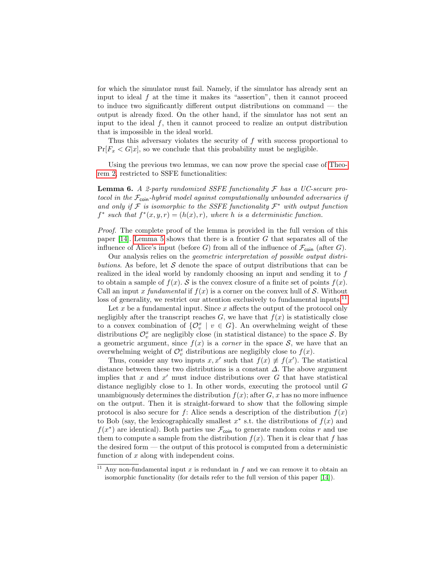for which the simulator must fail. Namely, if the simulator has already sent an input to ideal  $f$  at the time it makes its "assertion", then it cannot proceed to induce two significantly different output distributions on command — the output is already fixed. On the other hand, if the simulator has not sent an input to the ideal  $f$ , then it cannot proceed to realize an output distribution that is impossible in the ideal world.

Thus this adversary violates the security of  $f$  with success proportional to  $Pr[F_x < G|x]$ , so we conclude that this probability must be negligible.

Using the previous two lemmas, we can now prove the special case of [Theo](#page-12-0)[rem 2,](#page-12-0) restricted to SSFE functionalities:

**Lemma 6.** A 2-party randomized SSFE functionality  $\mathcal F$  has a UC-secure protocol in the  $\mathcal{F}_{\text{coin}}$ -hybrid model against computationally unbounded adversaries if and only if  $\mathcal F$  is isomorphic to the SSFE functionality  $\mathcal F^*$  with output function  $f^*$  such that  $f^*(x, y, r) = (h(x), r)$ , where h is a deterministic function.

Proof. The complete proof of the lemma is provided in the full version of this paper  $[14]$ . [Lemma 5](#page-13-1) shows that there is a frontier G that separates all of the influence of Alice's input (before G) from all of the influence of  $\mathcal{F}_{\text{coin}}$  (after G).

Our analysis relies on the geometric interpretation of possible output distributions. As before, let  $S$  denote the space of output distributions that can be realized in the ideal world by randomly choosing an input and sending it to f to obtain a sample of  $f(x)$ . S is the convex closure of a finite set of points  $f(x)$ . Call an input x fundamental if  $f(x)$  is a corner on the convex hull of S. Without loss of generality, we restrict our attention exclusively to fundamental inputs.<sup>[11](#page-14-0)</sup>

Let x be a fundamental input. Since x affects the output of the protocol only negligibly after the transcript reaches  $G$ , we have that  $f(x)$  is statistically close to a convex combination of  $\{\mathcal{O}_v^x \mid v \in G\}$ . An overwhelming weight of these distributions  $\mathcal{O}_v^x$  are negligibly close (in statistical distance) to the space  $\mathcal{S}$ . By a geometric argument, since  $f(x)$  is a *corner* in the space S, we have that an overwhelming weight of  $\mathcal{O}_v^x$  distributions are negligibly close to  $f(x)$ .

Thus, consider any two inputs x, x' such that  $f(x) \neq f(x')$ . The statistical distance between these two distributions is a constant  $\Delta$ . The above argument implies that  $x$  and  $x'$  must induce distributions over  $G$  that have statistical distance negligibly close to 1. In other words, executing the protocol until  $G$ unambiguously determines the distribution  $f(x)$ ; after G, x has no more influence on the output. Then it is straight-forward to show that the following simple protocol is also secure for f: Alice sends a description of the distribution  $f(x)$ to Bob (say, the lexicographically smallest  $x^*$  s.t. the distributions of  $f(x)$  and  $f(x^*)$  are identical). Both parties use  $\mathcal{F}_{\text{coin}}$  to generate random coins r and use them to compute a sample from the distribution  $f(x)$ . Then it is clear that f has the desired form — the output of this protocol is computed from a deterministic function of x along with independent coins.

<span id="page-14-0"></span><sup>&</sup>lt;sup>11</sup> Any non-fundamental input x is redundant in f and we can remove it to obtain an isomorphic functionality (for details refer to the full version of this paper [\[14\]](#page-17-8)).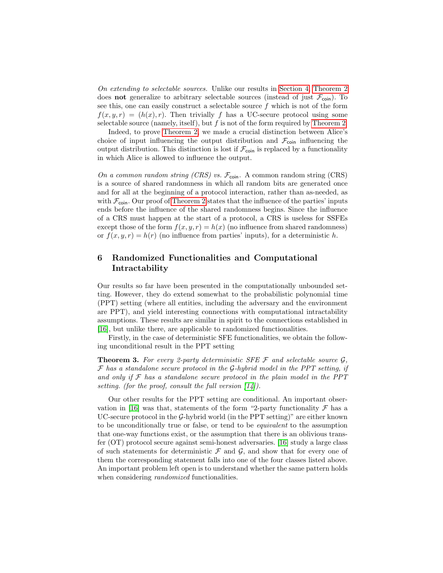On extending to selectable sources. Unlike our results in [Section 4,](#page-9-0) [Theorem 2](#page-12-0) does **not** generalize to arbitrary selectable sources (instead of just  $\mathcal{F}_{\text{coin}}$ ). To see this, one can easily construct a selectable source  $f$  which is not of the form  $f(x, y, r) = (h(x), r)$ . Then trivially f has a UC-secure protocol using some selectable source (namely, itself), but  $f$  is not of the form required by [Theorem 2.](#page-12-0)

Indeed, to prove [Theorem 2,](#page-12-0) we made a crucial distinction between Alice's choice of input influencing the output distribution and  $\mathcal{F}_{\text{coin}}$  influencing the output distribution. This distinction is lost if  $\mathcal{F}_{\text{coin}}$  is replaced by a functionality in which Alice is allowed to influence the output.

On a common random string (CRS) vs.  $\mathcal{F}_{\text{coin}}$ . A common random string (CRS) is a source of shared randomness in which all random bits are generated once and for all at the beginning of a protocol interaction, rather than as-needed, as with  $\mathcal{F}_{\textsf{coin}}$ . Our proof of [Theorem 2](#page-12-0) states that the influence of the parties' inputs ends before the influence of the shared randomness begins. Since the influence of a CRS must happen at the start of a protocol, a CRS is useless for SSFEs except those of the form  $f(x, y, r) = h(x)$  (no influence from shared randomness) or  $f(x, y, r) = h(r)$  (no influence from parties' inputs), for a deterministic h.

# 6 Randomized Functionalities and Computational Intractability

Our results so far have been presented in the computationally unbounded setting. However, they do extend somewhat to the probabilistic polynomial time (PPT) setting (where all entities, including the adversary and the environment are PPT), and yield interesting connections with computational intractability assumptions. These results are similar in spirit to the connections established in [\[16\]](#page-17-1), but unlike there, are applicable to randomized functionalities.

Firstly, in the case of deterministic SFE functionalities, we obtain the following unconditional result in the PPT setting

**Theorem 3.** For every 2-party deterministic SFE  $\mathcal{F}$  and selectable source  $\mathcal{G}$ ,  $\mathcal F$  has a standalone secure protocol in the G-hybrid model in the PPT setting, if and only if  $\mathcal F$  has a standalone secure protocol in the plain model in the PPT setting. (for the proof, consult the full version  $[14]$ ).

Our other results for the PPT setting are conditional. An important obser-vation in [\[16\]](#page-17-1) was that, statements of the form "2-party functionality  $\mathcal F$  has a UC-secure protocol in the  $G$ -hybrid world (in the PPT setting)" are either known to be unconditionally true or false, or tend to be equivalent to the assumption that one-way functions exist, or the assumption that there is an oblivious transfer (OT) protocol secure against semi-honest adversaries. [\[16\]](#page-17-1) study a large class of such statements for deterministic  $\mathcal F$  and  $\mathcal G$ , and show that for every one of them the corresponding statement falls into one of the four classes listed above. An important problem left open is to understand whether the same pattern holds when considering *randomized* functionalities.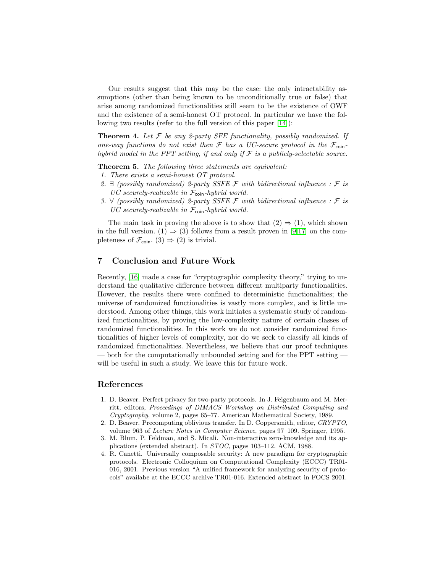Our results suggest that this may be the case: the only intractability assumptions (other than being known to be unconditionally true or false) that arise among randomized functionalities still seem to be the existence of OWF and the existence of a semi-honest OT protocol. In particular we have the following two results (refer to the full version of this paper [\[14\]](#page-17-8)):

**Theorem 4.** Let  $F$  be any 2-party SFE functionality, possibly randomized. If one-way functions do not exist then  $\mathcal F$  has a UC-secure protocol in the  $\mathcal F_{\text{coin}}$ hybrid model in the PPT setting, if and only if  $\mathcal F$  is a publicly-selectable source.

Theorem 5. The following three statements are equivalent:

- 1. There exists a semi-honest OT protocol.
- 2.  $\exists$  (possibly randomized) 2-party SSFE F with bidirectional influence : F is UC securely-realizable in  $\mathcal{F}_{\text{coin}}$ -hybrid world.
- 3.  $\forall$  (possibly randomized) 2-party SSFE  $\mathcal F$  with bidirectional influence :  $\mathcal F$  is UC securely-realizable in  $\mathcal{F}_{\text{coin}}$ -hybrid world.

The main task in proving the above is to show that  $(2) \Rightarrow (1)$ , which shown in the full version. (1)  $\Rightarrow$  (3) follows from a result proven in [\[9](#page-17-14)[,17\]](#page-17-15) on the completeness of  $\mathcal{F}_{\text{coin}}$ . (3)  $\Rightarrow$  (2) is trivial.

## 7 Conclusion and Future Work

Recently, [\[16\]](#page-17-1) made a case for "cryptographic complexity theory," trying to understand the qualitative difference between different multiparty functionalities. However, the results there were confined to deterministic functionalities; the universe of randomized functionalities is vastly more complex, and is little understood. Among other things, this work initiates a systematic study of randomized functionalities, by proving the low-complexity nature of certain classes of randomized functionalities. In this work we do not consider randomized functionalities of higher levels of complexity, nor do we seek to classify all kinds of randomized functionalities. Nevertheless, we believe that our proof techniques — both for the computationally unbounded setting and for the PPT setting will be useful in such a study. We leave this for future work.

#### References

- <span id="page-16-2"></span>1. D. Beaver. Perfect privacy for two-party protocols. In J. Feigenbaum and M. Merritt, editors, Proceedings of DIMACS Workshop on Distributed Computing and Cryptography, volume 2, pages 65–77. American Mathematical Society, 1989.
- <span id="page-16-1"></span>2. D. Beaver. Precomputing oblivious transfer. In D. Coppersmith, editor, CRYPTO, volume 963 of Lecture Notes in Computer Science, pages 97–109. Springer, 1995.
- <span id="page-16-0"></span>3. M. Blum, P. Feldman, and S. Micali. Non-interactive zero-knowledge and its applications (extended abstract). In STOC, pages 103–112. ACM, 1988.
- <span id="page-16-3"></span>4. R. Canetti. Universally composable security: A new paradigm for cryptographic protocols. Electronic Colloquium on Computational Complexity (ECCC) TR01- 016, 2001. Previous version "A unified framework for analyzing security of protocols" availabe at the ECCC archive TR01-016. Extended abstract in FOCS 2001.